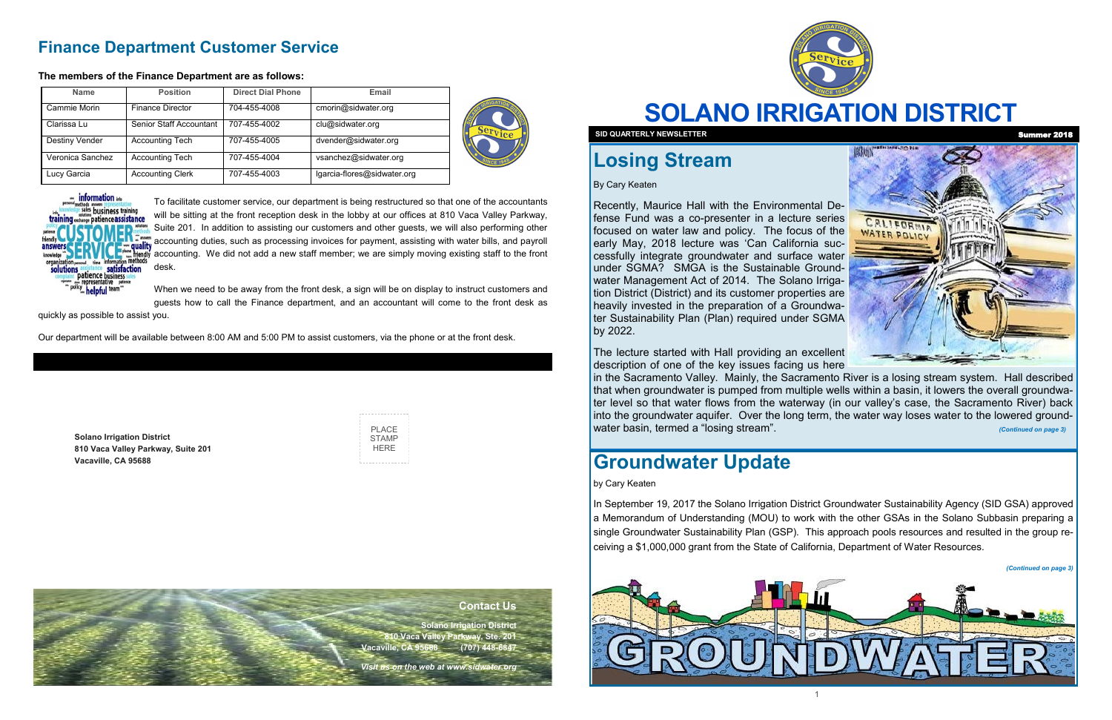# **SOLANO IRRIGATION DISTRICT**

WATER POLICY

**Solano Irrigation District 810 Vaca Valley Parkway, Suite 201 Vacaville, CA 95688**

| PLACE |
|-------|
|       |
| STAMP |
| HFRF  |
|       |
|       |

# **Losing Stream**

By Cary Keaten

The lecture started with Hall providing an excellent description of one of the key issues facing us here in the Sacramento Valley. Mainly, the Sacramento River is a losing stream system. Hall described that when groundwater is pumped from multiple wells within a basin, it lowers the overall groundwater level so that water flows from the waterway (in our valley's case, the Sacramento River) back into the groundwater aquifer. Over the long term, the water way loses water to the lowered groundwater basin, termed a "losing stream". *Continued on page 3)* **and the continued on page 3** 

Recently, Maurice Hall with the Environmental Defense Fund was a co-presenter in a lecture series focused on water law and policy. The focus of the early May, 2018 lecture was 'Can California successfully integrate groundwater and surface water under SGMA? SMGA is the Sustainable Groundwater Management Act of 2014. The Solano Irrigation District (District) and its customer properties are heavily invested in the preparation of a Groundwater Sustainability Plan (Plan) required under SGMA by 2022.

### **Finance Department Customer Service**

#### **The members of the Finance Department are as follows:**

To facilitate customer service, our department is being restructured so that one of the accountants will be sitting at the front reception desk in the lobby at our offices at 810 Vaca Valley Parkway, Suite 201. In addition to assisting our customers and other guests, we will also performing other accounting duties, such as processing invoices for payment, assisting with water bills, and payroll accounting. We did not add a new staff member; we are simply moving existing staff to the front desk.

When we need to be away from the front desk, a sign will be on display to instruct customers and guests how to call the Finance department, and an accountant will come to the front desk as

quickly as possible to assist you.

Our department will be available between 8:00 AM and 5:00 PM to assist customers, via the phone or at the front desk.

| <b>Name</b>      | <b>Position</b>         | <b>Direct Dial Phone</b> | Email                       | Se: |
|------------------|-------------------------|--------------------------|-----------------------------|-----|
| Cammie Morin     | <b>Finance Director</b> | 704-455-4008             | cmorin@sidwater.org         |     |
| Clarissa Lu      | Senior Staff Accountant | 707-455-4002             | clu@sidwater.org            |     |
| Destiny Vender   | <b>Accounting Tech</b>  | 707-455-4005             | dvender@sidwater.org        |     |
| Veronica Sanchez | <b>Accounting Tech</b>  | 707-455-4004             | vsanchez@sidwater.org       |     |
| Lucy Garcia      | <b>Accounting Clerk</b> | 707-455-4003             | lgarcia-flores@sidwater.org |     |





#### **Contact Us**

**Solano Irrigation District 810 Vaca Valley Parkway, Ste. 201 Vacaville, CA 95688 (707) 448-6847** 

*Visit us on the web at www.sidwater.org*



**SID QUARTERLY NEWSLETTER** 

## **Groundwater Update**

by Cary Keaten

In September 19, 2017 the Solano Irrigation District Groundwater Sustainability Agency (SID GSA) approved a Memorandum of Understanding (MOU) to work with the other GSAs in the Solano Subbasin preparing a single Groundwater Sustainability Plan (GSP). This approach pools resources and resulted in the group receiving a \$1,000,000 grant from the State of California, Department of Water Resources.